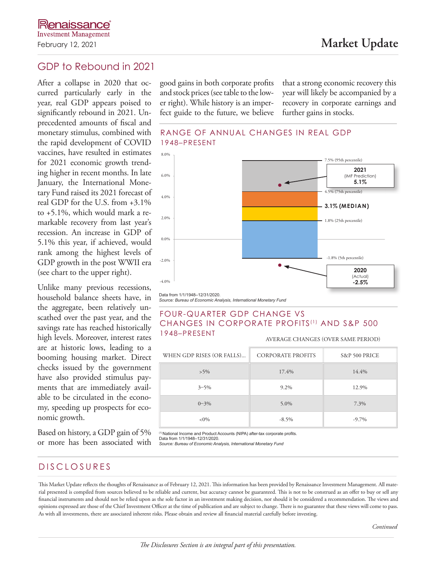# GDP to Rebound in 2021

After a collapse in 2020 that occurred particularly early in the year, real GDP appears poised to significantly rebound in 2021. Unprecedented amounts of fiscal and monetary stimulus, combined with the rapid development of COVID vaccines, have resulted in estimates for 2021 economic growth trending higher in recent months. In late January, the International Monetary Fund raised its 2021 forecast of real GDP for the U.S. from +3.1% to +5.1%, which would mark a remarkable recovery from last year's recession. An increase in GDP of 5.1% this year, if achieved, would rank among the highest levels of GDP growth in the post WWII era (see chart to the upper right).

Unlike many previous recessions, household balance sheets have, in the aggregate, been relatively unscathed over the past year, and the savings rate has reached historically high levels. Moreover, interest rates are at historic lows, leading to a booming housing market. Direct checks issued by the government have also provided stimulus payments that are immediately available to be circulated in the economy, speeding up prospects for economic growth.

Based on history, a GDP gain of 5% or more has been associated with good gains in both corporate profits and stock prices (see table to the lower right). While history is an imperfect guide to the future, we believe that a strong economic recovery this year will likely be accompanied by a recovery in corporate earnings and further gains in stocks.





*Source: Bureau of Economic Analysis, International Monetary Fund*

#### FOUR-QUARTER GDP CHANGE VS CHANGES IN CORPORATE PROFITS<sup>(1)</sup> AND S&P 500 1948–PRESENT

AVERAGE CHANGES (OVER SAME PERIOD)

| WHEN GDP RISES (OR FALLS) | <b>CORPORATE PROFITS</b> | S&P 500 PRICE |
|---------------------------|--------------------------|---------------|
| $>5\%$                    | 17.4%                    | 14.4%         |
| $3 - 5\%$                 | 9.2%                     | 12.9%         |
| $0 - 3\%$                 | 5.0%                     | 7.3%          |
| $<0\%$                    | $-8.5\%$                 | $-9.7\%$      |

<sup>(1)</sup> National Income and Product Accounts (NIPA) after-tax corporate profits.<br>Data from 1/1/1948–12/31/2020. *Source: Bureau of Economic Analysis, International Monetary Fund*

## DISCLOSURES

This Market Update reflects the thoughts of Renaissance as of February 12, 2021. This information has been provided by Renaissance Investment Management. All material presented is compiled from sources believed to be reliable and current, but accuracy cannot be guaranteed. This is not to be construed as an offer to buy or sell any financial instruments and should not be relied upon as the sole factor in an investment making decision, nor should it be considered a recommendation. The views and opinions expressed are those of the Chief Investment Officer at the time of publication and are subject to change. There is no guarantee that these views will come to pass. As with all investments, there are associated inherent risks. Please obtain and review all financial material carefully before investing.